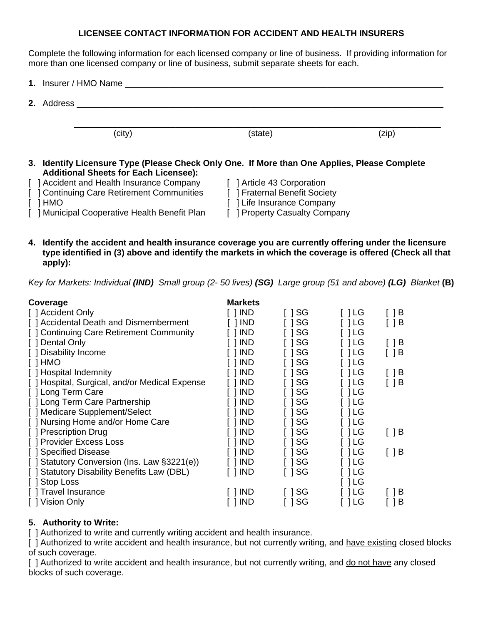## **LICENSEE CONTACT INFORMATION FOR ACCIDENT AND HEALTH INSURERS**

Complete the following information for each licensed company or line of business. If providing information for more than one licensed company or line of business, submit separate sheets for each.

|  | 1. Insurer / HMO Name <b>All and All and All and All and All and All and All and All and All and All and All and A</b> |                                                                                              |       |
|--|------------------------------------------------------------------------------------------------------------------------|----------------------------------------------------------------------------------------------|-------|
|  |                                                                                                                        |                                                                                              |       |
|  | (city)                                                                                                                 | (state)                                                                                      | (zip) |
|  | <b>Additional Sheets for Each Licensee):</b>                                                                           | 3. Identify Licensure Type (Please Check Only One. If More than One Applies, Please Complete |       |

- [ ] Accident and Health Insurance Company [ ] Article 43 Corporation [ ] Continuing Care Retirement Communities [ ] [ ] Fraternal Benefit Society
- [ ] Continuing Care Retirement Communities
- 
- [ ] Municipal Cooperative Health Benefit Plan [ ] Property Casualty Company

[ ] HMO **[ ]** ] HMO

**4. Identify the accident and health insurance coverage you are currently offering under the licensure type identified in (3) above and identify the markets in which the coverage is offered (Check all that apply):** 

 *Key for Markets: Individual (IND) Small group (2- 50 lives) (SG) Large group (51 and above) (LG) Blanket* **(B)** 

| Coverage                                       | <b>Markets</b> |       |      |       |
|------------------------------------------------|----------------|-------|------|-------|
| [ ] Accident Only                              | 1 IND          | I ISG | []LG | [ ] B |
| [ ] Accidental Death and Dismemberment         | 1 IND          | SG    | ា LG | [ ] B |
| [] Continuing Care Retirement Community        | <b>IND</b>     | SG    | LG   |       |
| [ ] Dental Only                                | <b>IND</b>     | SG    | 1 LG | ] B   |
| [ ] Disability Income                          | <b>IND</b>     | SG    | LG   |       |
| [ ] HMO                                        | <b>IND</b>     | SG    | 1 LG |       |
| [ ] Hospital Indemnity                         | <b>IND</b>     | SG    | LG   | [ ] B |
| [ ] Hospital, Surgical, and/or Medical Expense | <b>IND</b>     | SG    | LG   |       |
| [ ] Long Term Care                             | <b>IND</b>     | SG    | LG   |       |
| [] Long Term Care Partnership                  | <b>IND</b>     | SG    | 1 LG |       |
| [ ] Medicare Supplement/Select                 | <b>IND</b>     | SG    | LG   |       |
| [ ] Nursing Home and/or Home Care              | <b>IND</b>     | SG    | LG   |       |
| [ ] Prescription Drug                          | <b>IND</b>     | SG    | 1 LG | [ ] B |
| [ ] Provider Excess Loss                       | <b>IND</b>     | SG    | 1 LG |       |
| [ ] Specified Disease                          | <b>IND</b>     | SG    | 1 LG | [ ] B |
| [] Statutory Conversion (Ins. Law §3221(e))    | <b>IND</b>     | SG    | LG   |       |
| <b>Statutory Disability Benefits Law (DBL)</b> | <b>IND</b>     | SG    | LG   |       |
| [ ] Stop Loss                                  |                |       | 1 LG |       |
| [] Travel Insurance                            | <b>IND</b>     | SG    | LG   | ] B   |
| [ ] Vision Only                                | <b>IND</b>     | SG    | LG   | B     |

## **5. Authority to Write:**

[] Authorized to write and currently writing accident and health insurance.

[ ] Authorized to write accident and health insurance, but not currently writing, and have existing closed blocks of such coverage.

[ ] Authorized to write accident and health insurance, but not currently writing, and do not have any closed blocks of such coverage.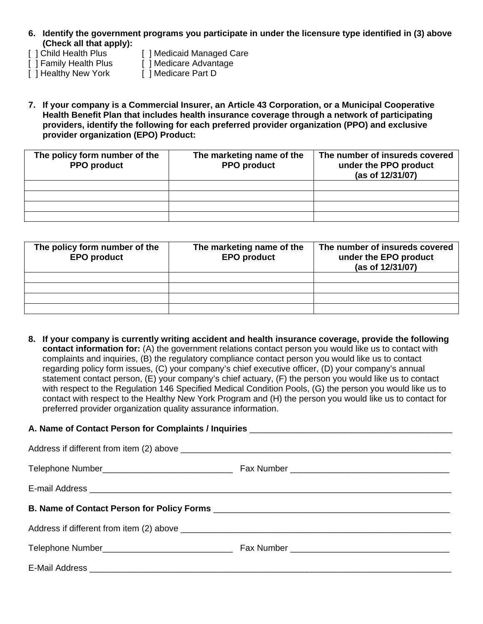- **6. Identify the government programs you participate in under the licensure type identified in (3) above (Check all that apply):**
- [ ] Child Health Plus [ ] Medicaid Managed Care
- [ ] Family Health Plus [ ] Medicare Advantage
	-
- [ ] Healthy New York [ ] Medicare Part D
- 
- **7. If your company is a Commercial Insurer, an Article 43 Corporation, or a Municipal Cooperative Health Benefit Plan that includes health insurance coverage through a network of participating providers, identify the following for each preferred provider organization (PPO) and exclusive provider organization (EPO) Product:**

| The policy form number of the<br><b>PPO</b> product | The marketing name of the<br><b>PPO</b> product | The number of insureds covered<br>under the PPO product<br>(as of 12/31/07) |
|-----------------------------------------------------|-------------------------------------------------|-----------------------------------------------------------------------------|
|                                                     |                                                 |                                                                             |
|                                                     |                                                 |                                                                             |
|                                                     |                                                 |                                                                             |
|                                                     |                                                 |                                                                             |

| The policy form number of the<br><b>EPO product</b> | The marketing name of the<br><b>EPO</b> product | The number of insureds covered<br>under the EPO product<br>(as of 12/31/07) |
|-----------------------------------------------------|-------------------------------------------------|-----------------------------------------------------------------------------|
|                                                     |                                                 |                                                                             |
|                                                     |                                                 |                                                                             |
|                                                     |                                                 |                                                                             |
|                                                     |                                                 |                                                                             |

**8. If your company is currently writing accident and health insurance coverage, provide the following contact information for:** (A) the government relations contact person you would like us to contact with complaints and inquiries, (B) the regulatory compliance contact person you would like us to contact regarding policy form issues, (C) your company's chief executive officer, (D) your company's annual statement contact person, (E) your company's chief actuary, (F) the person you would like us to contact with respect to the Regulation 146 Specified Medical Condition Pools, (G) the person you would like us to contact with respect to the Healthy New York Program and (H) the person you would like us to contact for preferred provider organization quality assurance information.

## **A. Name of Contact Person for Complaints / Inquiries** \_\_\_\_\_\_\_\_\_\_\_\_\_\_\_\_\_\_\_\_\_\_\_\_\_\_\_\_\_\_\_\_\_\_\_\_\_\_\_\_\_\_